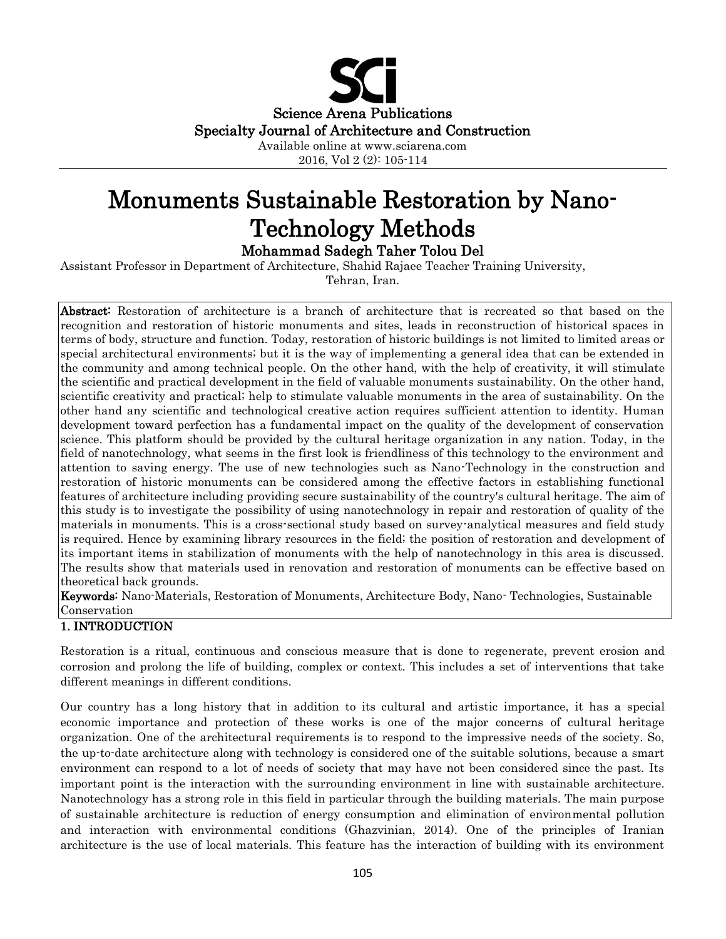

2016, Vol 2 (2): 105-114

# Monuments Sustainable Restoration by Nano-Technology Methods

Mohammad Sadegh Taher Tolou Del

Assistant Professor in Department of Architecture, Shahid Rajaee Teacher Training University,

Tehran, Iran.

Abstract: Restoration of architecture is a branch of architecture that is recreated so that based on the recognition and restoration of historic monuments and sites, leads in reconstruction of historical spaces in terms of body, structure and function. Today, restoration of historic buildings is not limited to limited areas or special architectural environments; but it is the way of implementing a general idea that can be extended in the community and among technical people. On the other hand, with the help of creativity, it will stimulate the scientific and practical development in the field of valuable monuments sustainability. On the other hand, scientific creativity and practical; help to stimulate valuable monuments in the area of sustainability. On the other hand any scientific and technological creative action requires sufficient attention to identity. Human development toward perfection has a fundamental impact on the quality of the development of conservation science. This platform should be provided by the cultural heritage organization in any nation. Today, in the field of nanotechnology, what seems in the first look is friendliness of this technology to the environment and attention to saving energy. The use of new technologies such as Nano-Technology in the construction and restoration of historic monuments can be considered among the effective factors in establishing functional features of architecture including providing secure sustainability of the country's cultural heritage. The aim of this study is to investigate the possibility of using nanotechnology in repair and restoration of quality of the materials in monuments. This is a cross-sectional study based on survey-analytical measures and field study is required. Hence by examining library resources in the field; the position of restoration and development of its important items in stabilization of monuments with the help of nanotechnology in this area is discussed. The results show that materials used in renovation and restoration of monuments can be effective based on theoretical back grounds.

Keywords: Nano-Materials, Restoration of Monuments, Architecture Body, Nano- Technologies, Sustainable Conservation

## 1. INTRODUCTION

Restoration is a ritual, continuous and conscious measure that is done to regenerate, prevent erosion and corrosion and prolong the life of building, complex or context. This includes a set of interventions that take different meanings in different conditions.

Our country has a long history that in addition to its cultural and artistic importance, it has a special economic importance and protection of these works is one of the major concerns of cultural heritage organization. One of the architectural requirements is to respond to the impressive needs of the society. So, the up-to-date architecture along with technology is considered one of the suitable solutions, because a smart environment can respond to a lot of needs of society that may have not been considered since the past. Its important point is the interaction with the surrounding environment in line with sustainable architecture. Nanotechnology has a strong role in this field in particular through the building materials. The main purpose of sustainable architecture is reduction of energy consumption and elimination of environmental pollution and interaction with environmental conditions (Ghazvinian, 2014). One of the principles of Iranian architecture is the use of local materials. This feature has the interaction of building with its environment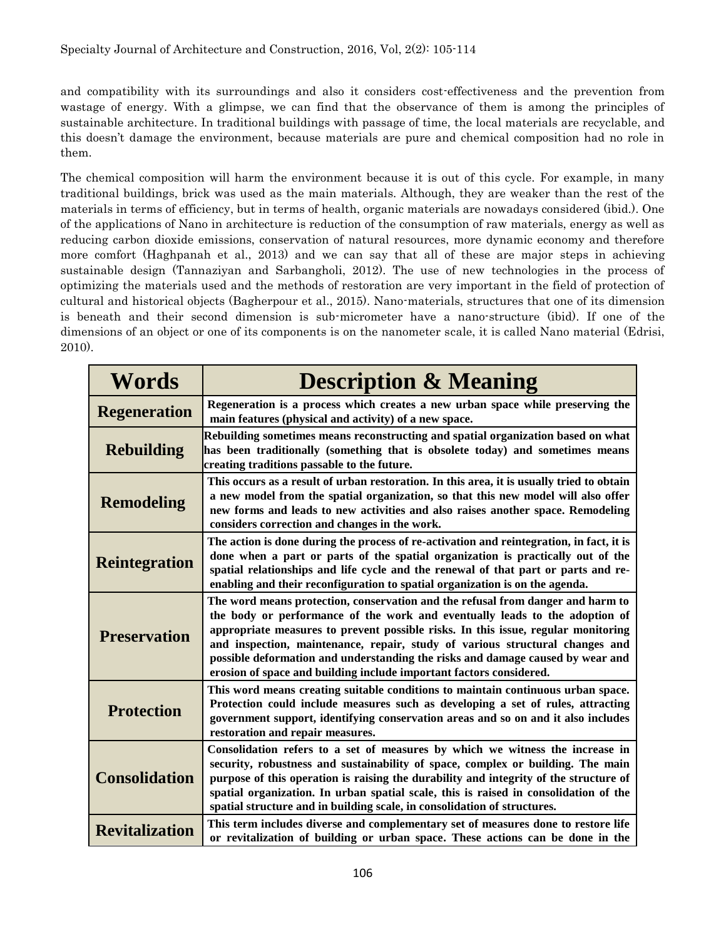and compatibility with its surroundings and also it considers cost-effectiveness and the prevention from wastage of energy. With a glimpse, we can find that the observance of them is among the principles of sustainable architecture. In traditional buildings with passage of time, the local materials are recyclable, and this doesn't damage the environment, because materials are pure and chemical composition had no role in them.

The chemical composition will harm the environment because it is out of this cycle. For example, in many traditional buildings, brick was used as the main materials. Although, they are weaker than the rest of the materials in terms of efficiency, but in terms of health, organic materials are nowadays considered (ibid.). One of the applications of Nano in architecture is reduction of the consumption of raw materials, energy as well as reducing carbon dioxide emissions, conservation of natural resources, more dynamic economy and therefore more comfort (Haghpanah et al., 2013) and we can say that all of these are major steps in achieving sustainable design (Tannaziyan and Sarbangholi, 2012). The use of new technologies in the process of optimizing the materials used and the methods of restoration are very important in the field of protection of cultural and historical objects (Bagherpour et al., 2015). Nano-materials, structures that one of its dimension is beneath and their second dimension is sub-micrometer have a nano-structure (ibid). If one of the dimensions of an object or one of its components is on the nanometer scale, it is called Nano material (Edrisi, 2010).

| <b>Words</b>          | <b>Description &amp; Meaning</b>                                                                                                                                                                                                                                                                                                                                                                                                                                                             |  |
|-----------------------|----------------------------------------------------------------------------------------------------------------------------------------------------------------------------------------------------------------------------------------------------------------------------------------------------------------------------------------------------------------------------------------------------------------------------------------------------------------------------------------------|--|
| <b>Regeneration</b>   | Regeneration is a process which creates a new urban space while preserving the<br>main features (physical and activity) of a new space.                                                                                                                                                                                                                                                                                                                                                      |  |
| <b>Rebuilding</b>     | Rebuilding sometimes means reconstructing and spatial organization based on what<br>has been traditionally (something that is obsolete today) and sometimes means<br>creating traditions passable to the future.                                                                                                                                                                                                                                                                             |  |
| <b>Remodeling</b>     | This occurs as a result of urban restoration. In this area, it is usually tried to obtain<br>a new model from the spatial organization, so that this new model will also offer<br>new forms and leads to new activities and also raises another space. Remodeling<br>considers correction and changes in the work.                                                                                                                                                                           |  |
| <b>Reintegration</b>  | The action is done during the process of re-activation and reintegration, in fact, it is<br>done when a part or parts of the spatial organization is practically out of the<br>spatial relationships and life cycle and the renewal of that part or parts and re-<br>enabling and their reconfiguration to spatial organization is on the agenda.                                                                                                                                            |  |
| <b>Preservation</b>   | The word means protection, conservation and the refusal from danger and harm to<br>the body or performance of the work and eventually leads to the adoption of<br>appropriate measures to prevent possible risks. In this issue, regular monitoring<br>and inspection, maintenance, repair, study of various structural changes and<br>possible deformation and understanding the risks and damage caused by wear and<br>erosion of space and building include important factors considered. |  |
| <b>Protection</b>     | This word means creating suitable conditions to maintain continuous urban space.<br>Protection could include measures such as developing a set of rules, attracting<br>government support, identifying conservation areas and so on and it also includes<br>restoration and repair measures.                                                                                                                                                                                                 |  |
| <b>Consolidation</b>  | Consolidation refers to a set of measures by which we witness the increase in<br>security, robustness and sustainability of space, complex or building. The main<br>purpose of this operation is raising the durability and integrity of the structure of<br>spatial organization. In urban spatial scale, this is raised in consolidation of the<br>spatial structure and in building scale, in consolidation of structures.                                                                |  |
| <b>Revitalization</b> | This term includes diverse and complementary set of measures done to restore life<br>or revitalization of building or urban space. These actions can be done in the                                                                                                                                                                                                                                                                                                                          |  |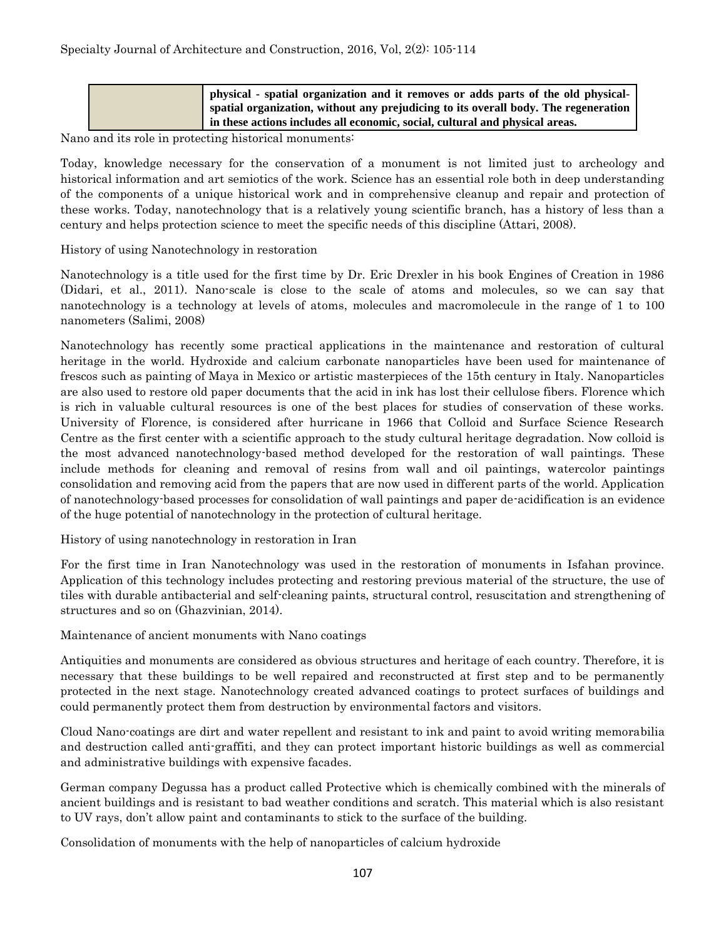|  | physical - spatial organization and it removes or adds parts of the old physical-   |
|--|-------------------------------------------------------------------------------------|
|  | spatial organization, without any prejudicing to its overall body. The regeneration |
|  | in these actions includes all economic, social, cultural and physical areas.        |

Nano and its role in protecting historical monuments:

Today, knowledge necessary for the conservation of a monument is not limited just to archeology and historical information and art semiotics of the work. Science has an essential role both in deep understanding of the components of a unique historical work and in comprehensive cleanup and repair and protection of these works. Today, nanotechnology that is a relatively young scientific branch, has a history of less than a century and helps protection science to meet the specific needs of this discipline (Attari, 2008).

History of using Nanotechnology in restoration

Nanotechnology is a title used for the first time by Dr. Eric Drexler in his book Engines of Creation in 1986 (Didari, et al., 2011). Nano-scale is close to the scale of atoms and molecules, so we can say that nanotechnology is a technology at levels of atoms, molecules and macromolecule in the range of 1 to 100 nanometers (Salimi, 2008)

Nanotechnology has recently some practical applications in the maintenance and restoration of cultural heritage in the world. Hydroxide and calcium carbonate nanoparticles have been used for maintenance of frescos such as painting of Maya in Mexico or artistic masterpieces of the 15th century in Italy. Nanoparticles are also used to restore old paper documents that the acid in ink has lost their cellulose fibers. Florence which is rich in valuable cultural resources is one of the best places for studies of conservation of these works. University of Florence, is considered after hurricane in 1966 that Colloid and Surface Science Research Centre as the first center with a scientific approach to the study cultural heritage degradation. Now colloid is the most advanced nanotechnology-based method developed for the restoration of wall paintings. These include methods for cleaning and removal of resins from wall and oil paintings, watercolor paintings consolidation and removing acid from the papers that are now used in different parts of the world. Application of nanotechnology-based processes for consolidation of wall paintings and paper de-acidification is an evidence of the huge potential of nanotechnology in the protection of cultural heritage.

History of using nanotechnology in restoration in Iran

For the first time in Iran Nanotechnology was used in the restoration of monuments in Isfahan province. Application of this technology includes protecting and restoring previous material of the structure, the use of tiles with durable antibacterial and self-cleaning paints, structural control, resuscitation and strengthening of structures and so on (Ghazvinian, 2014).

Maintenance of ancient monuments with Nano coatings

Antiquities and monuments are considered as obvious structures and heritage of each country. Therefore, it is necessary that these buildings to be well repaired and reconstructed at first step and to be permanently protected in the next stage. Nanotechnology created advanced coatings to protect surfaces of buildings and could permanently protect them from destruction by environmental factors and visitors.

Cloud Nano-coatings are dirt and water repellent and resistant to ink and paint to avoid writing memorabilia and destruction called anti-graffiti, and they can protect important historic buildings as well as commercial and administrative buildings with expensive facades.

German company Degussa has a product called Protective which is chemically combined with the minerals of ancient buildings and is resistant to bad weather conditions and scratch. This material which is also resistant to UV rays, don't allow paint and contaminants to stick to the surface of the building.

Consolidation of monuments with the help of nanoparticles of calcium hydroxide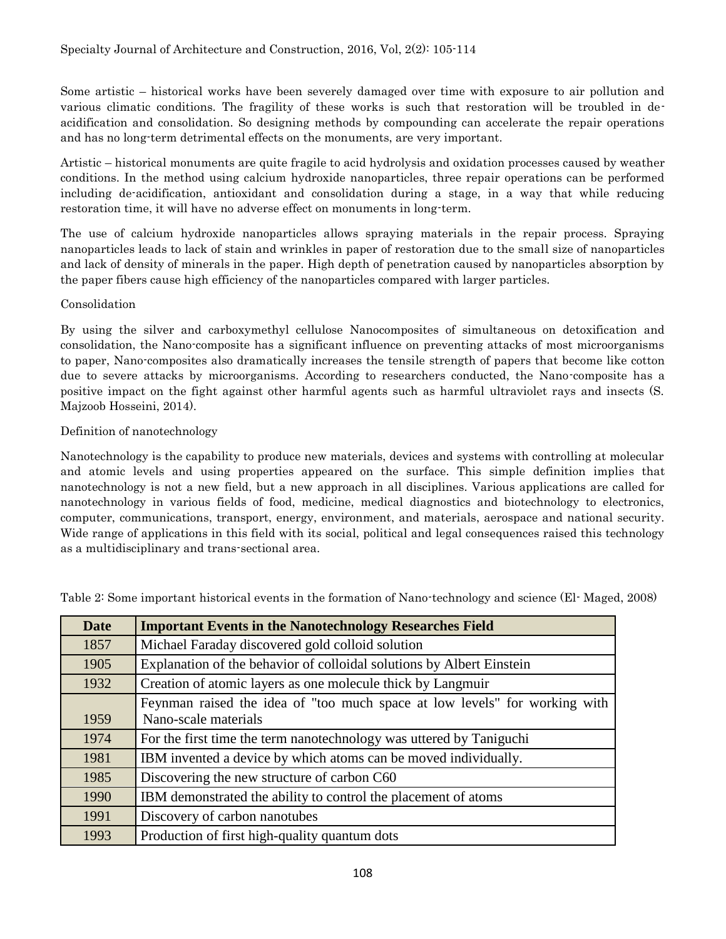Some artistic – historical works have been severely damaged over time with exposure to air pollution and various climatic conditions. The fragility of these works is such that restoration will be troubled in deacidification and consolidation. So designing methods by compounding can accelerate the repair operations and has no long-term detrimental effects on the monuments, are very important.

Artistic – historical monuments are quite fragile to acid hydrolysis and oxidation processes caused by weather conditions. In the method using calcium hydroxide nanoparticles, three repair operations can be performed including de-acidification, antioxidant and consolidation during a stage, in a way that while reducing restoration time, it will have no adverse effect on monuments in long-term.

The use of calcium hydroxide nanoparticles allows spraying materials in the repair process. Spraying nanoparticles leads to lack of stain and wrinkles in paper of restoration due to the small size of nanoparticles and lack of density of minerals in the paper. High depth of penetration caused by nanoparticles absorption by the paper fibers cause high efficiency of the nanoparticles compared with larger particles.

## Consolidation

By using the silver and carboxymethyl cellulose Nanocomposites of simultaneous on detoxification and consolidation, the Nano-composite has a significant influence on preventing attacks of most microorganisms to paper, Nano-composites also dramatically increases the tensile strength of papers that become like cotton due to severe attacks by microorganisms. According to researchers conducted, the Nano-composite has a positive impact on the fight against other harmful agents such as harmful ultraviolet rays and insects (S. Majzoob Hosseini, 2014).

## Definition of nanotechnology

Nanotechnology is the capability to produce new materials, devices and systems with controlling at molecular and atomic levels and using properties appeared on the surface. This simple definition implies that nanotechnology is not a new field, but a new approach in all disciplines. Various applications are called for nanotechnology in various fields of food, medicine, medical diagnostics and biotechnology to electronics, computer, communications, transport, energy, environment, and materials, aerospace and national security. Wide range of applications in this field with its social, political and legal consequences raised this technology as a multidisciplinary and trans-sectional area.

| <b>Date</b> | <b>Important Events in the Nanotechnology Researches Field</b>             |  |
|-------------|----------------------------------------------------------------------------|--|
| 1857        | Michael Faraday discovered gold colloid solution                           |  |
| 1905        | Explanation of the behavior of colloidal solutions by Albert Einstein      |  |
| 1932        | Creation of atomic layers as one molecule thick by Langmuir                |  |
|             | Feynman raised the idea of "too much space at low levels" for working with |  |
| 1959        | Nano-scale materials                                                       |  |
| 1974        | For the first time the term nanotechnology was uttered by Taniguchi        |  |
| 1981        | IBM invented a device by which atoms can be moved individually.            |  |
| 1985        | Discovering the new structure of carbon C60                                |  |
| 1990        | IBM demonstrated the ability to control the placement of atoms             |  |
| 1991        | Discovery of carbon nanotubes                                              |  |
| 1993        | Production of first high-quality quantum dots                              |  |

Table 2: Some important historical events in the formation of Nano-technology and science (El- Maged, 2008)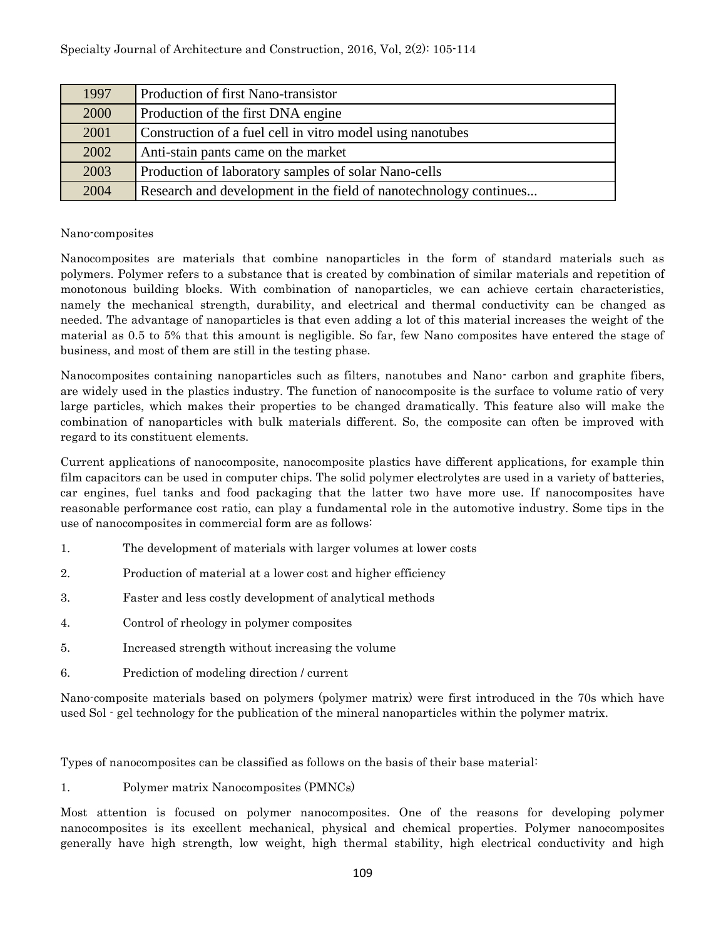| 1997 | Production of first Nano-transistor                               |  |
|------|-------------------------------------------------------------------|--|
| 2000 | Production of the first DNA engine                                |  |
| 2001 | Construction of a fuel cell in vitro model using nanotubes        |  |
| 2002 | Anti-stain pants came on the market                               |  |
| 2003 | Production of laboratory samples of solar Nano-cells              |  |
| 2004 | Research and development in the field of nanotechnology continues |  |

## Nano-composites

Nanocomposites are materials that combine nanoparticles in the form of standard materials such as polymers. Polymer refers to a substance that is created by combination of similar materials and repetition of monotonous building blocks. With combination of nanoparticles, we can achieve certain characteristics, namely the mechanical strength, durability, and electrical and thermal conductivity can be changed as needed. The advantage of nanoparticles is that even adding a lot of this material increases the weight of the material as 0.5 to 5% that this amount is negligible. So far, few Nano composites have entered the stage of business, and most of them are still in the testing phase.

Nanocomposites containing nanoparticles such as filters, nanotubes and Nano- carbon and graphite fibers, are widely used in the plastics industry. The function of nanocomposite is the surface to volume ratio of very large particles, which makes their properties to be changed dramatically. This feature also will make the combination of nanoparticles with bulk materials different. So, the composite can often be improved with regard to its constituent elements.

Current applications of nanocomposite, nanocomposite plastics have different applications, for example thin film capacitors can be used in computer chips. The solid polymer electrolytes are used in a variety of batteries, car engines, fuel tanks and food packaging that the latter two have more use. If nanocomposites have reasonable performance cost ratio, can play a fundamental role in the automotive industry. Some tips in the use of nanocomposites in commercial form are as follows:

- 1. The development of materials with larger volumes at lower costs
- 2. Production of material at a lower cost and higher efficiency
- 3. Faster and less costly development of analytical methods
- 4. Control of rheology in polymer composites
- 5. Increased strength without increasing the volume
- 6. Prediction of modeling direction / current

Nano-composite materials based on polymers (polymer matrix) were first introduced in the 70s which have used Sol - gel technology for the publication of the mineral nanoparticles within the polymer matrix.

Types of nanocomposites can be classified as follows on the basis of their base material:

## 1. Polymer matrix Nanocomposites (PMNCs)

Most attention is focused on polymer nanocomposites. One of the reasons for developing polymer nanocomposites is its excellent mechanical, physical and chemical properties. Polymer nanocomposites generally have high strength, low weight, high thermal stability, high electrical conductivity and high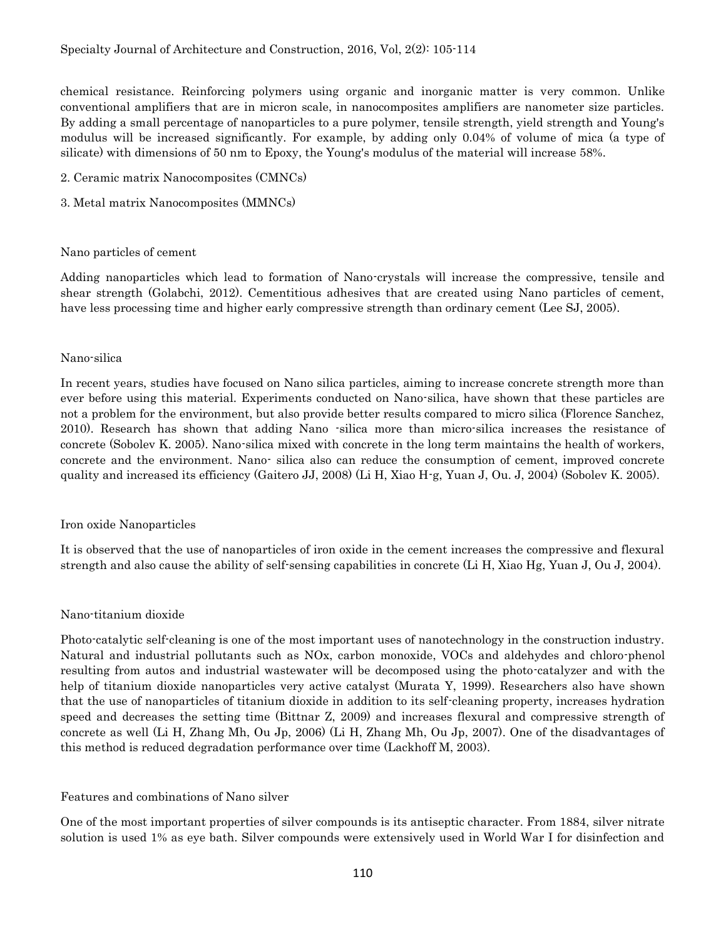chemical resistance. Reinforcing polymers using organic and inorganic matter is very common. Unlike conventional amplifiers that are in micron scale, in nanocomposites amplifiers are nanometer size particles. By adding a small percentage of nanoparticles to a pure polymer, tensile strength, yield strength and Young's modulus will be increased significantly. For example, by adding only 0.04% of volume of mica (a type of silicate) with dimensions of 50 nm to Epoxy, the Young's modulus of the material will increase 58%.

- 2. Ceramic matrix Nanocomposites (CMNCs)
- 3. Metal matrix Nanocomposites (MMNCs)

#### Nano particles of cement

Adding nanoparticles which lead to formation of Nano-crystals will increase the compressive, tensile and shear strength (Golabchi, 2012). Cementitious adhesives that are created using Nano particles of cement, have less processing time and higher early compressive strength than ordinary cement (Lee SJ, 2005).

#### Nano-silica

In recent years, studies have focused on Nano silica particles, aiming to increase concrete strength more than ever before using this material. Experiments conducted on Nano-silica, have shown that these particles are not a problem for the environment, but also provide better results compared to micro silica (Florence Sanchez, 2010). Research has shown that adding Nano -silica more than micro-silica increases the resistance of concrete (Sobolev K. 2005). Nano-silica mixed with concrete in the long term maintains the health of workers, concrete and the environment. Nano- silica also can reduce the consumption of cement, improved concrete quality and increased its efficiency (Gaitero JJ, 2008) (Li H, Xiao H-g, Yuan J, Ou. J, 2004) (Sobolev K. 2005).

#### Iron oxide Nanoparticles

It is observed that the use of nanoparticles of iron oxide in the cement increases the compressive and flexural strength and also cause the ability of self-sensing capabilities in concrete (Li H, Xiao Hg, Yuan J, Ou J, 2004).

#### Nano-titanium dioxide

Photo-catalytic self-cleaning is one of the most important uses of nanotechnology in the construction industry. Natural and industrial pollutants such as NOx, carbon monoxide, VOCs and aldehydes and chloro-phenol resulting from autos and industrial wastewater will be decomposed using the photo-catalyzer and with the help of titanium dioxide nanoparticles very active catalyst (Murata Y, 1999). Researchers also have shown that the use of nanoparticles of titanium dioxide in addition to its self-cleaning property, increases hydration speed and decreases the setting time (Bittnar Z, 2009) and increases flexural and compressive strength of concrete as well (Li H, Zhang Mh, Ou Jp, 2006) (Li H, Zhang Mh, Ou Jp, 2007). One of the disadvantages of this method is reduced degradation performance over time (Lackhoff M, 2003).

#### Features and combinations of Nano silver

One of the most important properties of silver compounds is its antiseptic character. From 1884, silver nitrate solution is used 1% as eye bath. Silver compounds were extensively used in World War I for disinfection and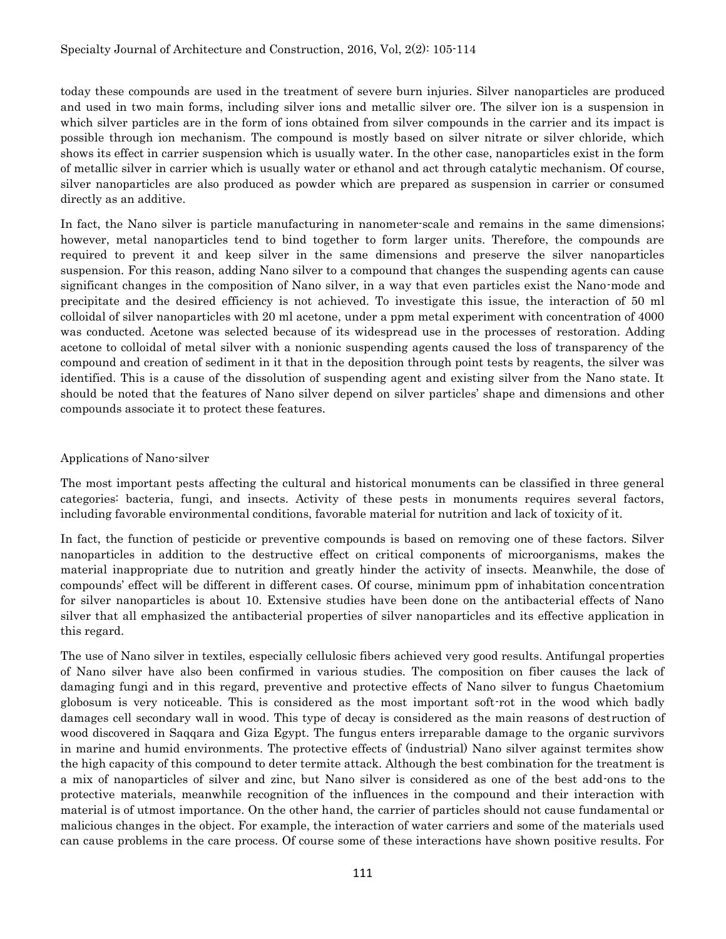today these compounds are used in the treatment of severe burn injuries. Silver nanoparticles are produced and used in two main forms, including silver ions and metallic silver ore. The silver ion is a suspension in which silver particles are in the form of ions obtained from silver compounds in the carrier and its impact is possible through ion mechanism. The compound is mostly based on silver nitrate or silver chloride, which shows its effect in carrier suspension which is usually water. In the other case, nanoparticles exist in the form of metallic silver in carrier which is usually water or ethanol and act through catalytic mechanism. Of course, silver nanoparticles are also produced as powder which are prepared as suspension in carrier or consumed directly as an additive.

In fact, the Nano silver is particle manufacturing in nanometer-scale and remains in the same dimensions; however, metal nanoparticles tend to bind together to form larger units. Therefore, the compounds are required to prevent it and keep silver in the same dimensions and preserve the silver nanoparticles suspension. For this reason, adding Nano silver to a compound that changes the suspending agents can cause significant changes in the composition of Nano silver, in a way that even particles exist the Nano-mode and precipitate and the desired efficiency is not achieved. To investigate this issue, the interaction of 50 ml colloidal of silver nanoparticles with 20 ml acetone, under a ppm metal experiment with concentration of 4000 was conducted. Acetone was selected because of its widespread use in the processes of restoration. Adding acetone to colloidal of metal silver with a nonionic suspending agents caused the loss of transparency of the compound and creation of sediment in it that in the deposition through point tests by reagents, the silver was identified. This is a cause of the dissolution of suspending agent and existing silver from the Nano state. It should be noted that the features of Nano silver depend on silver particles' shape and dimensions and other compounds associate it to protect these features.

#### Applications of Nano-silver

The most important pests affecting the cultural and historical monuments can be classified in three general categories: bacteria, fungi, and insects. Activity of these pests in monuments requires several factors, including favorable environmental conditions, favorable material for nutrition and lack of toxicity of it.

In fact, the function of pesticide or preventive compounds is based on removing one of these factors. Silver nanoparticles in addition to the destructive effect on critical components of microorganisms, makes the material inappropriate due to nutrition and greatly hinder the activity of insects. Meanwhile, the dose of compounds' effect will be different in different cases. Of course, minimum ppm of inhabitation concentration for silver nanoparticles is about 10. Extensive studies have been done on the antibacterial effects of Nano silver that all emphasized the antibacterial properties of silver nanoparticles and its effective application in this regard.

The use of Nano silver in textiles, especially cellulosic fibers achieved very good results. Antifungal properties of Nano silver have also been confirmed in various studies. The composition on fiber causes the lack of damaging fungi and in this regard, preventive and protective effects of Nano silver to fungus Chaetomium globosum is very noticeable. This is considered as the most important soft-rot in the wood which badly damages cell secondary wall in wood. This type of decay is considered as the main reasons of destruction of wood discovered in Saqqara and Giza Egypt. The fungus enters irreparable damage to the organic survivors in marine and humid environments. The protective effects of (industrial) Nano silver against termites show the high capacity of this compound to deter termite attack. Although the best combination for the treatment is a mix of nanoparticles of silver and zinc, but Nano silver is considered as one of the best add-ons to the protective materials, meanwhile recognition of the influences in the compound and their interaction with material is of utmost importance. On the other hand, the carrier of particles should not cause fundamental or malicious changes in the object. For example, the interaction of water carriers and some of the materials used can cause problems in the care process. Of course some of these interactions have shown positive results. For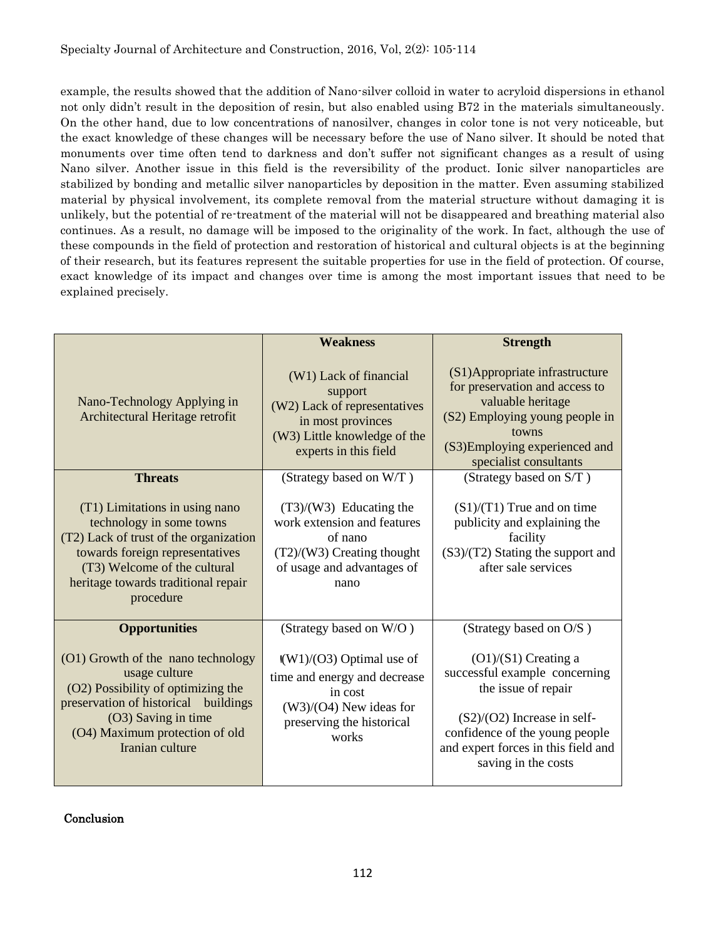example, the results showed that the addition of Nano-silver colloid in water to acryloid dispersions in ethanol not only didn't result in the deposition of resin, but also enabled using B72 in the materials simultaneously. On the other hand, due to low concentrations of nanosilver, changes in color tone is not very noticeable, but the exact knowledge of these changes will be necessary before the use of Nano silver. It should be noted that monuments over time often tend to darkness and don't suffer not significant changes as a result of using Nano silver. Another issue in this field is the reversibility of the product. Ionic silver nanoparticles are stabilized by bonding and metallic silver nanoparticles by deposition in the matter. Even assuming stabilized material by physical involvement, its complete removal from the material structure without damaging it is unlikely, but the potential of re-treatment of the material will not be disappeared and breathing material also continues. As a result, no damage will be imposed to the originality of the work. In fact, although the use of these compounds in the field of protection and restoration of historical and cultural objects is at the beginning of their research, but its features represent the suitable properties for use in the field of protection. Of course, exact knowledge of its impact and changes over time is among the most important issues that need to be explained precisely.

|                                                                                                                                                                                                                             | <b>Weakness</b>                                                                                                                                           | <b>Strength</b>                                                                                                                                                                                                 |
|-----------------------------------------------------------------------------------------------------------------------------------------------------------------------------------------------------------------------------|-----------------------------------------------------------------------------------------------------------------------------------------------------------|-----------------------------------------------------------------------------------------------------------------------------------------------------------------------------------------------------------------|
| Nano-Technology Applying in<br>Architectural Heritage retrofit                                                                                                                                                              | (W1) Lack of financial<br>support<br>(W2) Lack of representatives<br>in most provinces<br>(W3) Little knowledge of the<br>experts in this field           | (S1)Appropriate infrastructure<br>for preservation and access to<br>valuable heritage<br>(S2) Employing young people in<br>towns<br>(S3) Employing experienced and<br>specialist consultants                    |
| <b>Threats</b>                                                                                                                                                                                                              | (Strategy based on W/T)                                                                                                                                   | (Strategy based on S/T)                                                                                                                                                                                         |
| (T1) Limitations in using nano<br>technology in some towns<br>(T2) Lack of trust of the organization<br>towards foreign representatives<br>(T3) Welcome of the cultural<br>heritage towards traditional repair<br>procedure | $(T3)/(W3)$ Educating the<br>work extension and features<br>of nano<br>$(T2)/(W3)$ Creating thought<br>of usage and advantages of<br>nano                 | $(S1)/(T1)$ True and on time<br>publicity and explaining the<br>facility<br>$(S3)/(T2)$ Stating the support and<br>after sale services                                                                          |
| <b>Opportunities</b>                                                                                                                                                                                                        | (Strategy based on W/O)                                                                                                                                   | (Strategy based on O/S)                                                                                                                                                                                         |
| (O1) Growth of the nano technology<br>usage culture<br>(O2) Possibility of optimizing the<br>preservation of historical buildings<br>(O3) Saving in time<br>(O4) Maximum protection of old<br>Iranian culture               | $\left(\frac{W1}{O3}\right)$ Optimal use of<br>time and energy and decrease<br>in cost<br>$(W3)/(O4)$ New ideas for<br>preserving the historical<br>works | $(O1)/(S1)$ Creating a<br>successful example concerning<br>the issue of repair<br>$(S2)/(O2)$ Increase in self-<br>confidence of the young people<br>and expert forces in this field and<br>saving in the costs |

Conclusion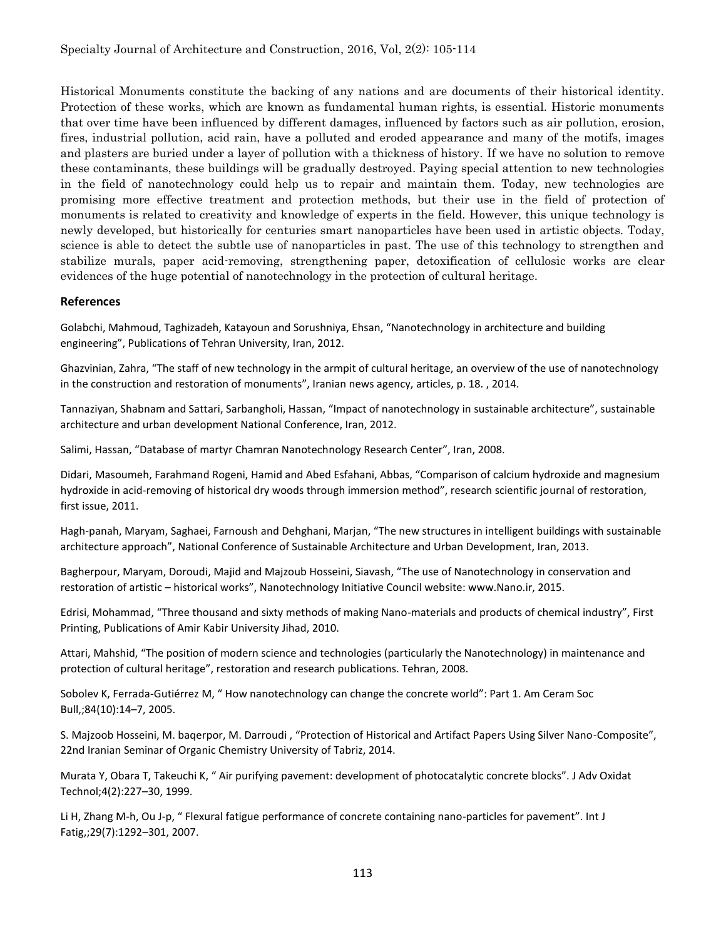Historical Monuments constitute the backing of any nations and are documents of their historical identity. Protection of these works, which are known as fundamental human rights, is essential. Historic monuments that over time have been influenced by different damages, influenced by factors such as air pollution, erosion, fires, industrial pollution, acid rain, have a polluted and eroded appearance and many of the motifs, images and plasters are buried under a layer of pollution with a thickness of history. If we have no solution to remove these contaminants, these buildings will be gradually destroyed. Paying special attention to new technologies in the field of nanotechnology could help us to repair and maintain them. Today, new technologies are promising more effective treatment and protection methods, but their use in the field of protection of monuments is related to creativity and knowledge of experts in the field. However, this unique technology is newly developed, but historically for centuries smart nanoparticles have been used in artistic objects. Today, science is able to detect the subtle use of nanoparticles in past. The use of this technology to strengthen and stabilize murals, paper acid-removing, strengthening paper, detoxification of cellulosic works are clear evidences of the huge potential of nanotechnology in the protection of cultural heritage.

## **References**

Golabchi, Mahmoud, Taghizadeh, Katayoun and Sorushniya, Ehsan, "Nanotechnology in architecture and building engineering", Publications of Tehran University, Iran, 2012.

Ghazvinian, Zahra, "The staff of new technology in the armpit of cultural heritage, an overview of the use of nanotechnology in the construction and restoration of monuments", Iranian news agency, articles, p. 18. , 2014.

Tannaziyan, Shabnam and Sattari, Sarbangholi, Hassan, "Impact of nanotechnology in sustainable architecture", sustainable architecture and urban development National Conference, Iran, 2012.

Salimi, Hassan, "Database of martyr Chamran Nanotechnology Research Center", Iran, 2008.

Didari, Masoumeh, Farahmand Rogeni, Hamid and Abed Esfahani, Abbas, "Comparison of calcium hydroxide and magnesium hydroxide in acid-removing of historical dry woods through immersion method", research scientific journal of restoration, first issue, 2011.

Hagh-panah, Maryam, Saghaei, Farnoush and Dehghani, Marjan, "The new structures in intelligent buildings with sustainable architecture approach", National Conference of Sustainable Architecture and Urban Development, Iran, 2013.

Bagherpour, Maryam, Doroudi, Majid and Majzoub Hosseini, Siavash, "The use of Nanotechnology in conservation and restoration of artistic – historical works", Nanotechnology Initiative Council website: www.Nano.ir, 2015.

Edrisi, Mohammad, "Three thousand and sixty methods of making Nano-materials and products of chemical industry", First Printing, Publications of Amir Kabir University Jihad, 2010.

Attari, Mahshid, "The position of modern science and technologies (particularly the Nanotechnology) in maintenance and protection of cultural heritage", restoration and research publications. Tehran, 2008.

Sobolev K, Ferrada-Gutiérrez M, " How nanotechnology can change the concrete world": Part 1. Am Ceram Soc Bull,;84(10):14–7, 2005.

S. Majzoob Hosseini, M. baqerpor, M. Darroudi , "Protection of Historical and Artifact Papers Using Silver Nano-Composite", 22nd Iranian Seminar of Organic Chemistry University of Tabriz, 2014.

Murata Y, Obara T, Takeuchi K, " Air purifying pavement: development of photocatalytic concrete blocks". J Adv Oxidat Technol;4(2):227–30, 1999.

Li H, Zhang M-h, Ou J-p, " Flexural fatigue performance of concrete containing nano-particles for pavement". Int J Fatig,;29(7):1292–301, 2007.